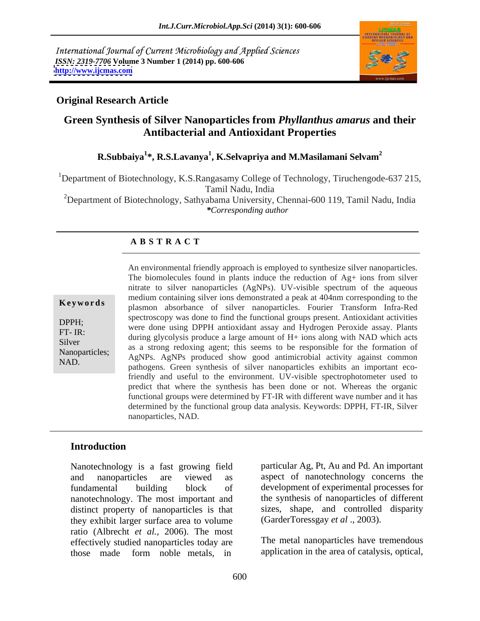International Journal of Current Microbiology and Applied Sciences *ISSN: 2319-7706* **Volume 3 Number 1 (2014) pp. 600-606 <http://www.ijcmas.com>**



### **Original Research Article**

# **Green Synthesis of Silver Nanoparticles from** *Phyllanthus amarus* **and their Antibacterial and Antioxidant Properties**

## **R.Subbaiya<sup>1</sup> \*, R.S.Lavanya<sup>1</sup> , K.Selvapriya and M.Masilamani Selvam<sup>2</sup>**

<sup>1</sup>Department of Biotechnology, K.S.Rangasamy College of Technology, Tiruchengode-637 215, Tamil Nadu, India

<sup>2</sup>Department of Biotechnology, Sathyabama University, Chennai-600 119, Tamil Nadu, India *\*Corresponding author* 

## **A B S T R A C T**

**Keywords** mealum conditions were roll demonstrated a peak at 404 nm corresponding to the plasmon absorbance of silver nanoparticles. Fourier Transform Infra-Red DPPH;<br>were done using DPPH antioxidant assay and Hydrogen Peroxide assay. Plants FT- IR:<br>
during glycolysis produce a large amount of H+ ions along with NAD which acts Silver<br>as a strong redoxing agent; this seems to be responsible for the formation of Nanoparticles; as a strong redoxing agent, this seems to be responsible for the formation of NAD NAD.<br>
pathogens. Green synthesis of silver nanoparticles exhibits an important eco-An environmental friendly approach is employed to synthesize silver nanoparticles. The biomolecules found in plants induce the reduction of Ag+ ions from silver nitrate to silver nanoparticles(AgNPs). UV-visible spectrum of the aqueous medium containing silver ions demonstrated a peak at 404nm corresponding to the spectroscopy was done to find the functional groups present. Antioxidant activities friendly and useful to the environment. UV-visible spectrophotometer used to predict that where the synthesis has been done or not. Whereas the organic functional groups were determined by FT-IR with different wave number and it has determined by the functional group data analysis. Keywords: DPPH, FT-IR, Silver nanoparticles, NAD.

## **Introduction**

Nanotechnology is a fast growing field and nanoparticles are viewed as aspect of nanotechnology concerns the fundamental building block of development of experimental processes for nanotechnology. The most important and distinct property of nanoparticles is that they exhibit larger surface area to volume ratio (Albrecht *et al.,* 2006). The most effectively studied nanoparticles today are those made form noble metals, in

particular Ag, Pt, Au and Pd. An important the synthesis of nanoparticles of different sizes, shape, and controlled disparity (GarderToressgay *et al* ., 2003).

The metal nanoparticles have tremendous application in the area of catalysis, optical,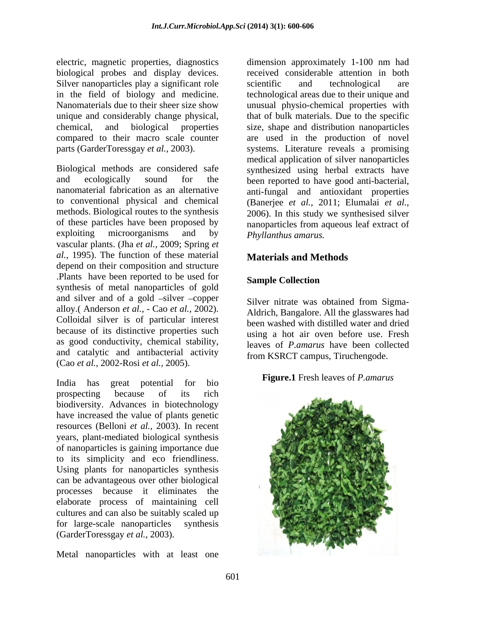electric, magnetic properties, diagnostics biological probes and display devices. Silver nanoparticles play a significant role scientific and technological are unique and considerably change physical,

Biological methods are considered safe synthesized using herbal extracts have and ecologically sound for the been reported to have good anti-bacterial, nanomaterial fabrication as an alternative anti-fungal and antioxidant properties to conventional physical and chemical (Banerjee *et al.,* 2011; Elumalai *et al.,* methods. Biological routes to the synthesis 2006). In this study we synthesised silver of these particles have been proposed by nanoparticles from aqueous leaf extract of exploiting microorganisms and by *Phyllanthus amarus*. vascular plants. (Jha *et al.,* 2009; Spring *et al.,* 1995). The function of these material depend on their composition and structure .Plants have been reported to be used for **Sample Collection** synthesis of metal nanoparticles of gold and silver and of a gold -silver -copper alloy.( Anderson *et al.,* - Cao *et al.,* 2002). Colloidal silver is of particular interest because of its distinctive properties such as good conductivity, chemical stability, and catalytic and antibacterial activity (Cao *et al.,* 2002-Rosi *et al.,* 2005).

India has great potential for bio prospecting because of its rich biodiversity. Advances in biotechnology have increased the value of plants genetic resources (Belloni *et al.,* 2003). In recent years, plant-mediated biological synthesis of nanoparticles is gaining importance due to its simplicity and eco friendliness. Using plants for nanoparticles synthesis can be advantageous over other biological processes because it eliminates the elaborate process of maintaining cell cultures and can also be suitably scaled up for large-scale nanoparticles synthesis (GarderToressgay *et al.,* 2003).

Metal nanoparticles with at least one

in the field of biology and medicine. technological areas due to their unique and Nanomaterials due to their sheer size show unusual physio-chemical properties with chemical, and biological properties size, shape and distribution nanoparticles compared to their macro scale counter are used in the production of novel parts (GarderToressgay *et al.,* 2003). systems. Literature reveals a promising dimension approximately 1-100 nm had received considerable attention in both scientific and technological are that of bulk materials. Due to the specific medical application of silver nanoparticles *Phyllanthus amarus.*

# **Materials and Methods**

## **Sample Collection**

Silver nitrate was obtained from Sigma- Aldrich, Bangalore. All the glasswares had been washed with distilled water and dried using a hot air oven before use. Fresh leaves of *P.amarus* have been collected from KSRCT campus, Tiruchengode.

### **Figure.1** Fresh leaves of *P.amarus*

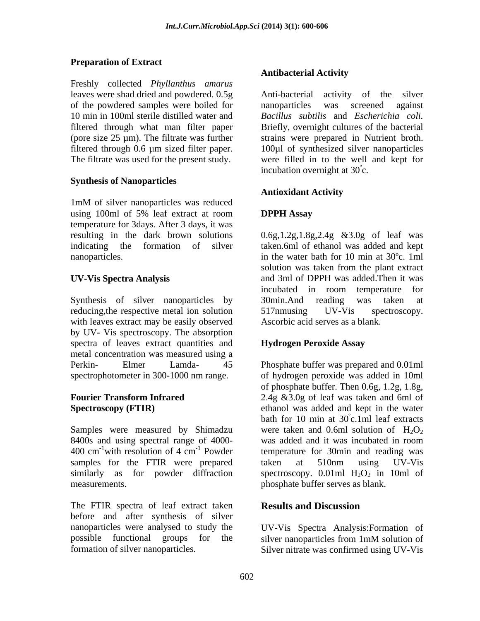## **Preparation of Extract**

Freshly collected *Phyllanthus amarus* leaves were shad dried and powdered. 0.5g of the powdered samples were boiled for an anoparticles was screened against

### **Synthesis of Nanoparticles**

1mM of silver nanoparticles was reduced using 100ml of 5% leaf extract at room **DPPH Assay** temperature for 3days. After 3 days, it was

Synthesis of silver nanoparticles by 30min. And reading was taken at reducing, the respective metal ion solution 517nm using UV-Vis spectroscopy. with leaves extract may be easily observed by UV- Vis spectroscopy. The absorption spectra of leaves extract quantities and **Hydrogen Peroxide Assay** metal concentration was measured using a Perkin- Elmer Lamda- 45 Phosphate buffer was prepared and 0.01ml spectrophotometer in 300-1000 nm range. of hydrogen peroxide was added in 10ml

Samples were measured by Shimadzu 8400s and using spectral range of 4000- was added and it was incubated in room samples for the FTIR were prepared taken at 510nm using UV-Vis

The FTIR spectra of leaf extract taken **Results and Discussion** before and after synthesis of silver nanoparticles were analysed to study the UV-Vis Spectra Analysis:Formation of possible functional groups for the silver nanoparticles from 1mM solution of

### **Antibacterial Activity**

10 min in 100ml sterile distilled water and *Bacillus subtilis* and *Escherichia coli.* filtered through what man filter paper Briefly, overnight cultures of the bacterial (pore size 25 µm). The filtrate was further strains were prepared in Nutrient broth. filtered through 0.6 µm sized filter paper. 100µl of synthesized silver nanoparticles The filtrate was used for the present study. were filled in to the well and kept for Anti-bacterial activity of the silver nanoparticles was screened against incubation overnight at  $30^{\circ}$ c.

### **Antioxidant Activity**

## **DPPH Assay**

resulting in the dark brown solutions 0.6g,1.2g,1.8g,2.4g &3.0g of leaf was indicating the formation of silver taken.6ml of ethanol was added and kept nanoparticles. in the water bath for 10 min at 30ºc. 1ml **UV-Vis Spectra Analysis** and 3ml of DPPH was added.Then it was solution was taken from the plant extract incubated in room temperature for 30min.And reading was taken at 517nmusing UV-Vis spectroscopy. Ascorbic acid serves as a blank.

### **Hydrogen Peroxide Assay**

**Fourier Transform Infrared**  2.4g &3.0g of leaf was taken and 6ml of **Spectroscopy (FTIR)** ethanol was added and kept in the water  $400 \text{ cm}^{-1}$  with resolution of 4 cm<sup>-1</sup> Powder temperature for 30min and reading was with resolution of  $4 \text{ cm}^{-1}$  Powder temperature for 30 min and reading was <sup>-1</sup> Powder temperature for 30min and reading was similarly as for powder diffraction spectroscopy.  $0.01$ ml  $H_2O_2$  in 10ml of measurements. phosphate buffer serves as blank. of phosphate buffer. Then 0.6g, 1.2g, 1.8g, bath for 10 min at  $30^{\circ}$ c.1ml leaf extracts ºc.1ml leaf extracts were taken and 0.6ml solution of  $H_2O_2$ was added and it was incubated in room taken at 510nm using UV-Vis

## **Results and Discussion**

formation of silver nanoparticles. Silver nitrate was confirmed using UV-Vis silver nanoparticles from 1mM solution of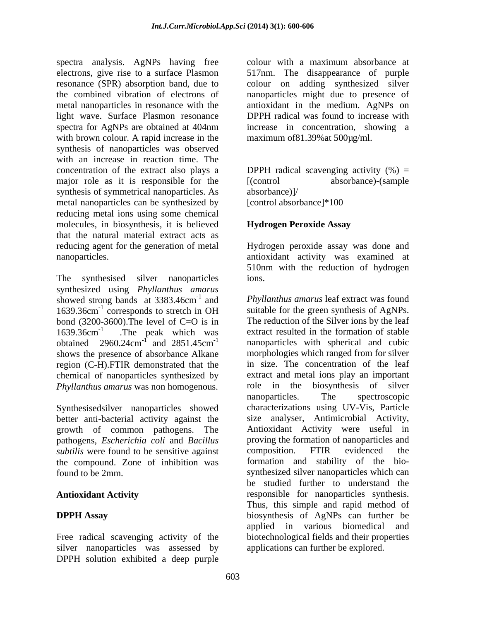spectra analysis. AgNPs having free colour with a maximum absorbance at electrons, give rise to a surface Plasmon 517nm. The disappearance of purple resonance (SPR) absorption band, due to colour on adding synthesized silver the combined vibration of electrons of nanoparticles might due to presence of metal nanoparticles in resonance with the antioxidant in the medium. AgNPs on light wave. Surface Plasmon resonance spectra for AgNPs are obtained at 404nm increase in concentration, showing a with brown colour. A rapid increase in the synthesis of nanoparticles was observed with an increase in reaction time. The concentration of the extract also plays a  $DPPH$  radical scavenging activity  $(\%) =$ major role as it is responsible for the [(control synthesis of symmetrical nanoparticles. As  $\qquad \qquad$  absorbance)]/ metal nanoparticles can be synthesized by [control absorbance]\*100 reducing metal ions using some chemical molecules, in biosynthesis, it is believed that the natural material extract acts as reducing agent for the generation of metal Hydrogen peroxide assay was done and nanoparticles. antioxidant activity was examined at

The synthesised silver nanoparticles ions. synthesized using *Phyllanthus amarus* showed strong bands at 3383.46cm<sup>-1</sup> and 1639.36cm<sup>-1</sup> corresponds to stretch in OH suitable for the green synthesis of AgNPs.<br>hond (3200-3600). The level of C=O is in The reduction of the Silver ions by the leaf bond (3200-3600). The level of C=O is in  $1639.36 \text{cm}^{-1}$  The peak which was obtained  $2960.24 \text{cm}^{-1}$  and  $2851.45 \text{cm}^{-1}$ shows the presence of absorbance Alkane region (C-H).FTIR demonstrated that the chemical of nanoparticles synthesized by

Synthesisedsilver nanoparticles showed better anti-bacterial activity against the growth of common pathogens. The pathogens, *Escherichia coli* and *Bacillus* proving the formation of nanoparticles and *subtilis* were found to be sensitive against composition. FTIR evidenced the *subtilis* were found to be sensitive against the compound. Zone of inhibition was

silver nanoparticles was assessed by DPPH solution exhibited a deep purple

colour with a maximum absorbance at DPPH radical was found to increase with increase in concentration, showing a maximum of 81.39% at 500µg/ml.

absorbance)-(sample absorbance)]/ [control absorbance]\*100

### **Hydrogen Peroxide Assay**

510nm with the reduction of hydrogen ions.

<sup>-1</sup> and Phyllanthus amarus leaf extract was found suitable for the green synthesis of AgNPs. 1639.36cm-1 .The peak which was extract resulted in the formation of stable <sup>-1</sup> and 2851.45cm<sup>-1</sup> nanoparticles with spherical and cubic and  $2851.45cm^{-1}$  nanoparticles with spherical and cubic *Phyllanthus amarus* was non homogenous. The biosynthesis of silver nanoparticles. The spectroscopic found to be 2mm. synthesized silver nanoparticles which can **Antioxidant Activity** responsible for nanoparticles synthesis. **DPPH Assay** biosynthesis of AgNPs can further be Free radical scavenging activity of the biotechnological fields and their properties suitable for the green synthesis of AgNPs. The reduction of the Silver ions by the leaf morphologies which ranged from for silver in size. The concentration of the leaf extract and metal ions play an important role in the biosynthesis of silver nanoparticles. The spectroscopic characterizations using UV-Vis, Particle size analyser, Antimicrobial Activity, Antioxidant Activity were useful in proving the formation of nanoparticles and composition. FTIR evidenced the formation and stability of the bio be studied further to understand the Thus, this simple and rapid method of applied in various biomedical and applications can further be explored.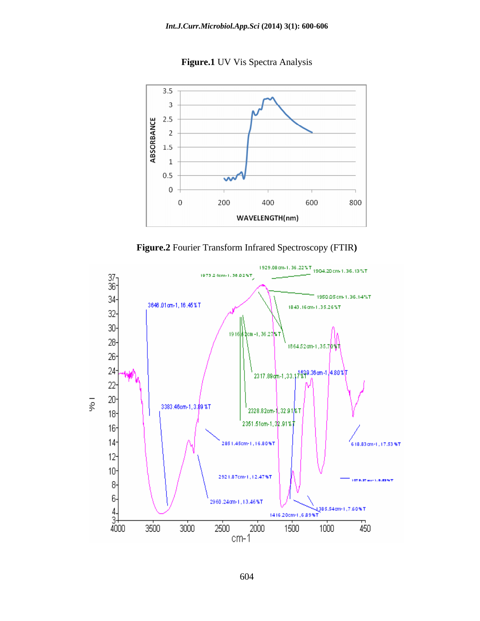**Figure.1** UV Vis Spectra Analysis





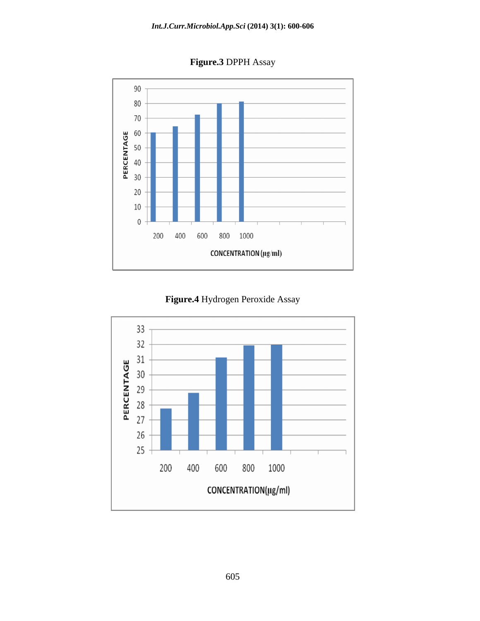**Figure.3** DPPH Assay



**Figure.4** Hydrogen Peroxide Assay